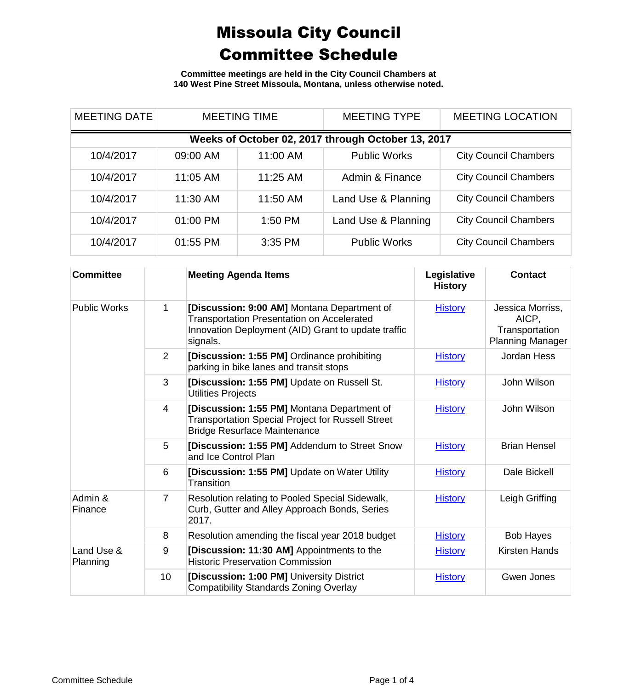**Committee meetings are held in the City Council Chambers at 140 West Pine Street Missoula, Montana, unless otherwise noted.**

| <b>MEETING DATE</b>                                | <b>MEETING TIME</b> |           | <b>MEETING TYPE</b> | <b>MEETING LOCATION</b>      |  |
|----------------------------------------------------|---------------------|-----------|---------------------|------------------------------|--|
| Weeks of October 02, 2017 through October 13, 2017 |                     |           |                     |                              |  |
| 10/4/2017                                          | 09:00 AM            | 11:00 AM  | <b>Public Works</b> | <b>City Council Chambers</b> |  |
| 10/4/2017                                          | 11:05 AM            | 11:25 AM  | Admin & Finance     | <b>City Council Chambers</b> |  |
| 10/4/2017                                          | 11:30 AM            | 11:50 AM  | Land Use & Planning | <b>City Council Chambers</b> |  |
| 10/4/2017                                          | 01:00 PM            | $1:50$ PM | Land Use & Planning | <b>City Council Chambers</b> |  |
| 10/4/2017                                          | 01:55 PM            | $3:35$ PM | <b>Public Works</b> | <b>City Council Chambers</b> |  |

| <b>Committee</b>       |                | <b>Meeting Agenda Items</b>                                                                                                                                         | Legislative<br><b>History</b> | <b>Contact</b>                                                         |
|------------------------|----------------|---------------------------------------------------------------------------------------------------------------------------------------------------------------------|-------------------------------|------------------------------------------------------------------------|
| <b>Public Works</b>    | 1              | [Discussion: 9:00 AM] Montana Department of<br><b>Transportation Presentation on Accelerated</b><br>Innovation Deployment (AID) Grant to update traffic<br>signals. | <b>History</b>                | Jessica Morriss,<br>AICP,<br>Transportation<br><b>Planning Manager</b> |
|                        | $\overline{2}$ | [Discussion: 1:55 PM] Ordinance prohibiting<br>parking in bike lanes and transit stops                                                                              | <b>History</b>                | Jordan Hess                                                            |
|                        | 3              | [Discussion: 1:55 PM] Update on Russell St.<br><b>Utilities Projects</b>                                                                                            | <b>History</b>                | John Wilson                                                            |
|                        | 4              | [Discussion: 1:55 PM] Montana Department of<br><b>Transportation Special Project for Russell Street</b><br><b>Bridge Resurface Maintenance</b>                      | <b>History</b>                | John Wilson                                                            |
|                        | 5              | [Discussion: 1:55 PM] Addendum to Street Snow<br>and Ice Control Plan                                                                                               | <b>History</b>                | <b>Brian Hensel</b>                                                    |
|                        | 6              | [Discussion: 1:55 PM] Update on Water Utility<br>Transition                                                                                                         | <b>History</b>                | Dale Bickell                                                           |
| Admin &<br>Finance     | $\overline{7}$ | Resolution relating to Pooled Special Sidewalk,<br>Curb, Gutter and Alley Approach Bonds, Series<br>2017.                                                           | <b>History</b>                | Leigh Griffing                                                         |
|                        | 8              | Resolution amending the fiscal year 2018 budget                                                                                                                     | <b>History</b>                | <b>Bob Hayes</b>                                                       |
| Land Use &<br>Planning | 9              | [Discussion: 11:30 AM] Appointments to the<br><b>Historic Preservation Commission</b>                                                                               | <b>History</b>                | Kirsten Hands                                                          |
|                        | 10             | [Discussion: 1:00 PM] University District<br><b>Compatibility Standards Zoning Overlay</b>                                                                          | <b>History</b>                | Gwen Jones                                                             |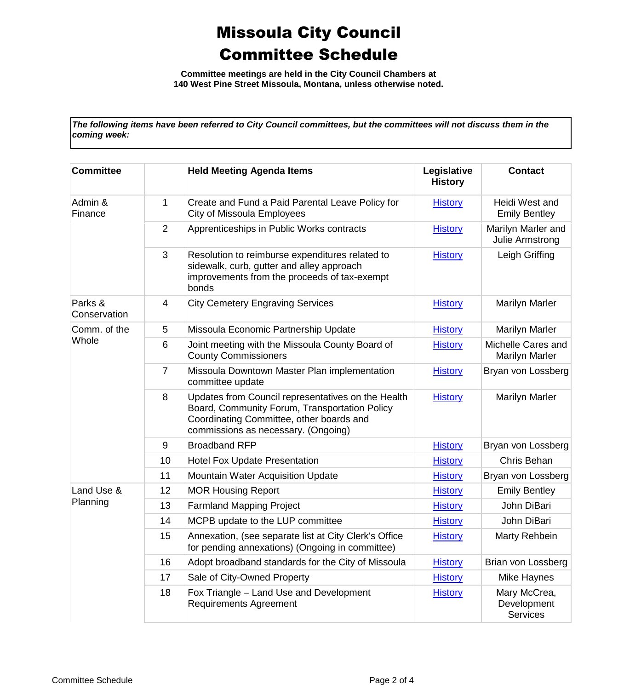**Committee meetings are held in the City Council Chambers at 140 West Pine Street Missoula, Montana, unless otherwise noted.**

*The following items have been referred to City Council committees, but the committees will not discuss them in the coming week:*

| <b>Committee</b>        |                | <b>Held Meeting Agenda Items</b>                                                                                                                                                       | Legislative<br><b>History</b> | <b>Contact</b>                          |
|-------------------------|----------------|----------------------------------------------------------------------------------------------------------------------------------------------------------------------------------------|-------------------------------|-----------------------------------------|
| Admin &<br>Finance      | 1              | Create and Fund a Paid Parental Leave Policy for<br><b>City of Missoula Employees</b>                                                                                                  | <b>History</b>                | Heidi West and<br><b>Emily Bentley</b>  |
|                         | 2              | Apprenticeships in Public Works contracts                                                                                                                                              | <b>History</b>                | Marilyn Marler and<br>Julie Armstrong   |
|                         | 3              | Resolution to reimburse expenditures related to<br>sidewalk, curb, gutter and alley approach<br>improvements from the proceeds of tax-exempt<br>bonds                                  | <b>History</b>                | Leigh Griffing                          |
| Parks &<br>Conservation | 4              | <b>City Cemetery Engraving Services</b>                                                                                                                                                | <b>History</b>                | Marilyn Marler                          |
| Comm. of the<br>Whole   | 5              | Missoula Economic Partnership Update                                                                                                                                                   | <b>History</b>                | <b>Marilyn Marler</b>                   |
|                         | 6              | Joint meeting with the Missoula County Board of<br><b>County Commissioners</b>                                                                                                         | <b>History</b>                | Michelle Cares and<br>Marilyn Marler    |
|                         | $\overline{7}$ | Missoula Downtown Master Plan implementation<br>committee update                                                                                                                       | <b>History</b>                | Bryan von Lossberg                      |
|                         | 8              | Updates from Council representatives on the Health<br>Board, Community Forum, Transportation Policy<br>Coordinating Committee, other boards and<br>commissions as necessary. (Ongoing) | <b>History</b>                | Marilyn Marler                          |
|                         | 9              | <b>Broadband RFP</b>                                                                                                                                                                   | <b>History</b>                | Bryan von Lossberg                      |
|                         | 10             | <b>Hotel Fox Update Presentation</b>                                                                                                                                                   | <b>History</b>                | Chris Behan                             |
|                         | 11             | <b>Mountain Water Acquisition Update</b>                                                                                                                                               | <b>History</b>                | Bryan von Lossberg                      |
| Land Use &              | 12             | <b>MOR Housing Report</b>                                                                                                                                                              | <b>History</b>                | <b>Emily Bentley</b>                    |
| Planning                | 13             | <b>Farmland Mapping Project</b>                                                                                                                                                        | <b>History</b>                | John DiBari                             |
|                         | 14             | MCPB update to the LUP committee                                                                                                                                                       | <b>History</b>                | John DiBari                             |
|                         | 15             | Annexation, (see separate list at City Clerk's Office<br>for pending annexations) (Ongoing in committee)                                                                               | <b>History</b>                | Marty Rehbein                           |
|                         | 16             | Adopt broadband standards for the City of Missoula                                                                                                                                     | <b>History</b>                | Brian von Lossberg                      |
|                         | 17             | Sale of City-Owned Property                                                                                                                                                            | <b>History</b>                | Mike Haynes                             |
|                         | 18             | Fox Triangle - Land Use and Development<br><b>Requirements Agreement</b>                                                                                                               | <b>History</b>                | Mary McCrea,<br>Development<br>Services |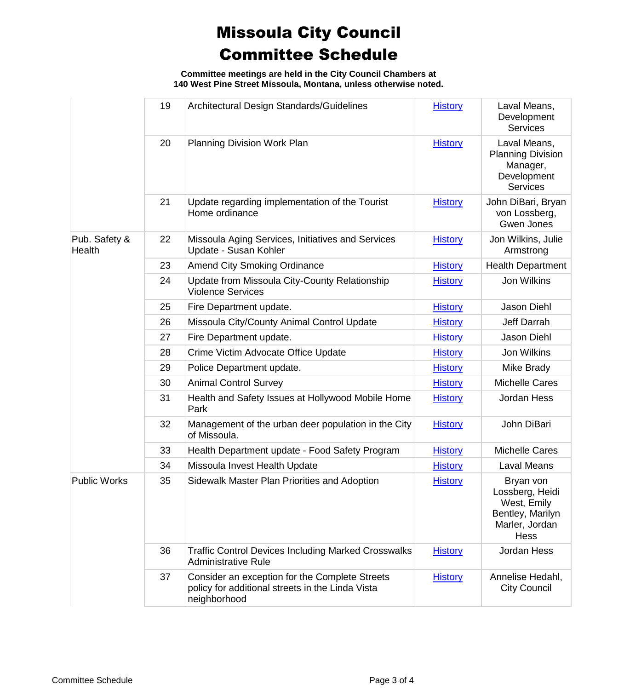**Committee meetings are held in the City Council Chambers at 140 West Pine Street Missoula, Montana, unless otherwise noted.**

|                         | 19 | Architectural Design Standards/Guidelines                                                                          | <b>History</b> | Laval Means,<br>Development<br><b>Services</b>                                                   |
|-------------------------|----|--------------------------------------------------------------------------------------------------------------------|----------------|--------------------------------------------------------------------------------------------------|
|                         | 20 | Planning Division Work Plan                                                                                        | <b>History</b> | Laval Means,<br><b>Planning Division</b><br>Manager,<br>Development<br><b>Services</b>           |
|                         | 21 | Update regarding implementation of the Tourist<br>Home ordinance                                                   | <b>History</b> | John DiBari, Bryan<br>von Lossberg,<br><b>Gwen Jones</b>                                         |
| Pub. Safety &<br>Health | 22 | Missoula Aging Services, Initiatives and Services<br>Update - Susan Kohler                                         | <b>History</b> | Jon Wilkins, Julie<br>Armstrong                                                                  |
|                         | 23 | <b>Amend City Smoking Ordinance</b>                                                                                | <b>History</b> | <b>Health Department</b>                                                                         |
|                         | 24 | Update from Missoula City-County Relationship<br><b>Violence Services</b>                                          | <b>History</b> | Jon Wilkins                                                                                      |
|                         | 25 | Fire Department update.                                                                                            | <b>History</b> | Jason Diehl                                                                                      |
|                         | 26 | Missoula City/County Animal Control Update                                                                         | <b>History</b> | Jeff Darrah                                                                                      |
|                         | 27 | Fire Department update.                                                                                            | <b>History</b> | Jason Diehl                                                                                      |
|                         | 28 | Crime Victim Advocate Office Update                                                                                | <b>History</b> | Jon Wilkins                                                                                      |
|                         | 29 | Police Department update.                                                                                          | <b>History</b> | Mike Brady                                                                                       |
|                         | 30 | <b>Animal Control Survey</b>                                                                                       | <b>History</b> | <b>Michelle Cares</b>                                                                            |
|                         | 31 | Health and Safety Issues at Hollywood Mobile Home<br>Park                                                          | <b>History</b> | Jordan Hess                                                                                      |
|                         | 32 | Management of the urban deer population in the City<br>of Missoula.                                                | <b>History</b> | John DiBari                                                                                      |
|                         | 33 | Health Department update - Food Safety Program                                                                     | <b>History</b> | <b>Michelle Cares</b>                                                                            |
|                         | 34 | Missoula Invest Health Update                                                                                      | <b>History</b> | <b>Laval Means</b>                                                                               |
| <b>Public Works</b>     | 35 | Sidewalk Master Plan Priorities and Adoption                                                                       | <b>History</b> | Bryan von<br>Lossberg, Heidi<br>West, Emily<br>Bentley, Marilyn<br>Marler, Jordan<br><b>Hess</b> |
|                         | 36 | <b>Traffic Control Devices Including Marked Crosswalks</b><br><b>Administrative Rule</b>                           | <b>History</b> | Jordan Hess                                                                                      |
|                         | 37 | Consider an exception for the Complete Streets<br>policy for additional streets in the Linda Vista<br>neighborhood | <b>History</b> | Annelise Hedahl,<br><b>City Council</b>                                                          |